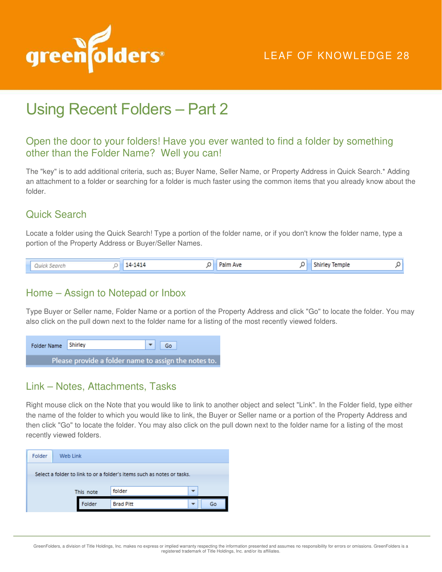

# LEAF OF KNOWLEDGE 28

# Using Recent Folders – Part 2

## Open the door to your folders! Have you ever wanted to find a folder by something other than the Folder Name? Well you can!

The "key" is to add additional criteria, such as; Buyer Name, Seller Name, or Property Address in Quick Search.\* Adding an attachment to a folder or searching for a folder is much faster using the common items that you already know about the folder.

# Quick Search

Locate a folder using the Quick Search! Type a portion of the folder name, or if you don't know the folder name, type a portion of the Property Address or Buyer/Seller Names.

| Quick Search |  | 14-1414 | Palm Ave |  | <b>Shirley Temple</b> |  |
|--------------|--|---------|----------|--|-----------------------|--|
|--------------|--|---------|----------|--|-----------------------|--|

#### Home – Assign to Notepad or Inbox

Type Buyer or Seller name, Folder Name or a portion of the Property Address and click "Go" to locate the folder. You may also click on the pull down next to the folder name for a listing of the most recently viewed folders.

| Folder Name Shirley                                  |  |  | $\bullet$ Go |  |  |
|------------------------------------------------------|--|--|--------------|--|--|
| Please provide a folder name to assign the notes to. |  |  |              |  |  |

#### Link – Notes, Attachments, Tasks

Right mouse click on the Note that you would like to link to another object and select "Link". In the Folder field, type either the name of the folder to which you would like to link, the Buyer or Seller name or a portion of the Property Address and then click "Go" to locate the folder. You may also click on the pull down next to the folder name for a listing of the most recently viewed folders.

| Folder                                                                 | Web Link |        |                  |  |    |  |
|------------------------------------------------------------------------|----------|--------|------------------|--|----|--|
| Select a folder to link to or a folder's items such as notes or tasks. |          |        |                  |  |    |  |
| This note                                                              |          |        | folder           |  |    |  |
|                                                                        |          | Folder | <b>Brad Pitt</b> |  | Go |  |